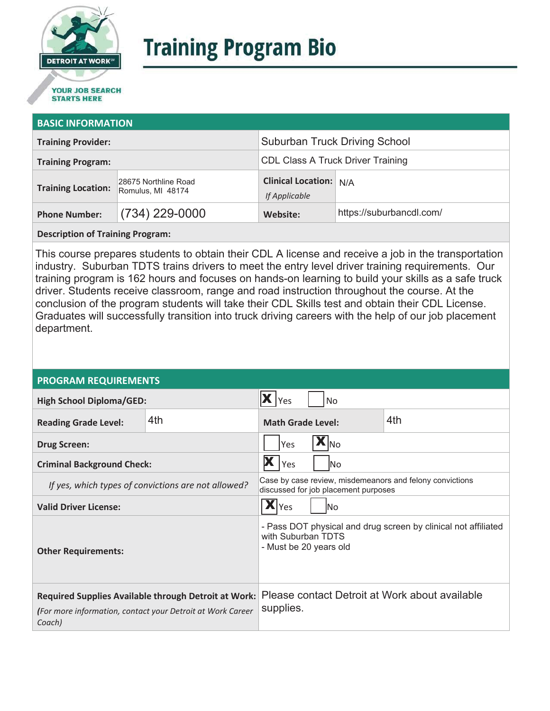

# **Training Program Bio**

## **STARTS HERE**

#### **BASIC INFORMATION**

| <b>Training Provider:</b> |                                           | <b>Suburban Truck Driving School</b>           |                          |
|---------------------------|-------------------------------------------|------------------------------------------------|--------------------------|
| <b>Training Program:</b>  |                                           | <b>CDL Class A Truck Driver Training</b>       |                          |
| <b>Training Location:</b> | 28675 Northline Road<br>Romulus, MI 48174 | <b>Clinical Location:</b> N/A<br>If Applicable |                          |
| <b>Phone Number:</b>      | $(734)$ 229-0000                          | Website:                                       | https://suburbancdl.com/ |

**Description of Training Program:** 

This course prepares students to obtain their CDL A license and receive a job in the transportation industry. Suburban TDTS trains drivers to meet the entry level driver training requirements. Our training program is 162 hours and focuses on hands-on learning to build your skills as a safe truck driver. Students receive classroom, range and road instruction throughout the course. At the conclusion of the program students will take their CDL Skills test and obtain their CDL License. Graduates will successfully transition into truck driving careers with the help of our job placement department.

#### **PROGRAM REQUIREMENTS**

| <b>High School Diploma/GED:</b>                                                                                                     |     | Yes<br>No                                                                                                      |  |
|-------------------------------------------------------------------------------------------------------------------------------------|-----|----------------------------------------------------------------------------------------------------------------|--|
| <b>Reading Grade Level:</b>                                                                                                         | 4th | 4th<br><b>Math Grade Level:</b>                                                                                |  |
| <b>Drug Screen:</b>                                                                                                                 |     | <b>INo</b><br>Yes                                                                                              |  |
| <b>Criminal Background Check:</b>                                                                                                   |     | Yes<br>lNo                                                                                                     |  |
| If yes, which types of convictions are not allowed?                                                                                 |     | Case by case review, misdemeanors and felony convictions<br>discussed for job placement purposes               |  |
| <b>Valid Driver License:</b>                                                                                                        |     | $\overline{\mathbf{X}}$ Yes<br>lNo                                                                             |  |
| <b>Other Requirements:</b>                                                                                                          |     | - Pass DOT physical and drug screen by clinical not affiliated<br>with Suburban TDTS<br>- Must be 20 years old |  |
| <b>Required Supplies Available through Detroit at Work:</b><br>(For more information, contact your Detroit at Work Career<br>Coach) |     | Please contact Detroit at Work about available<br>supplies.                                                    |  |